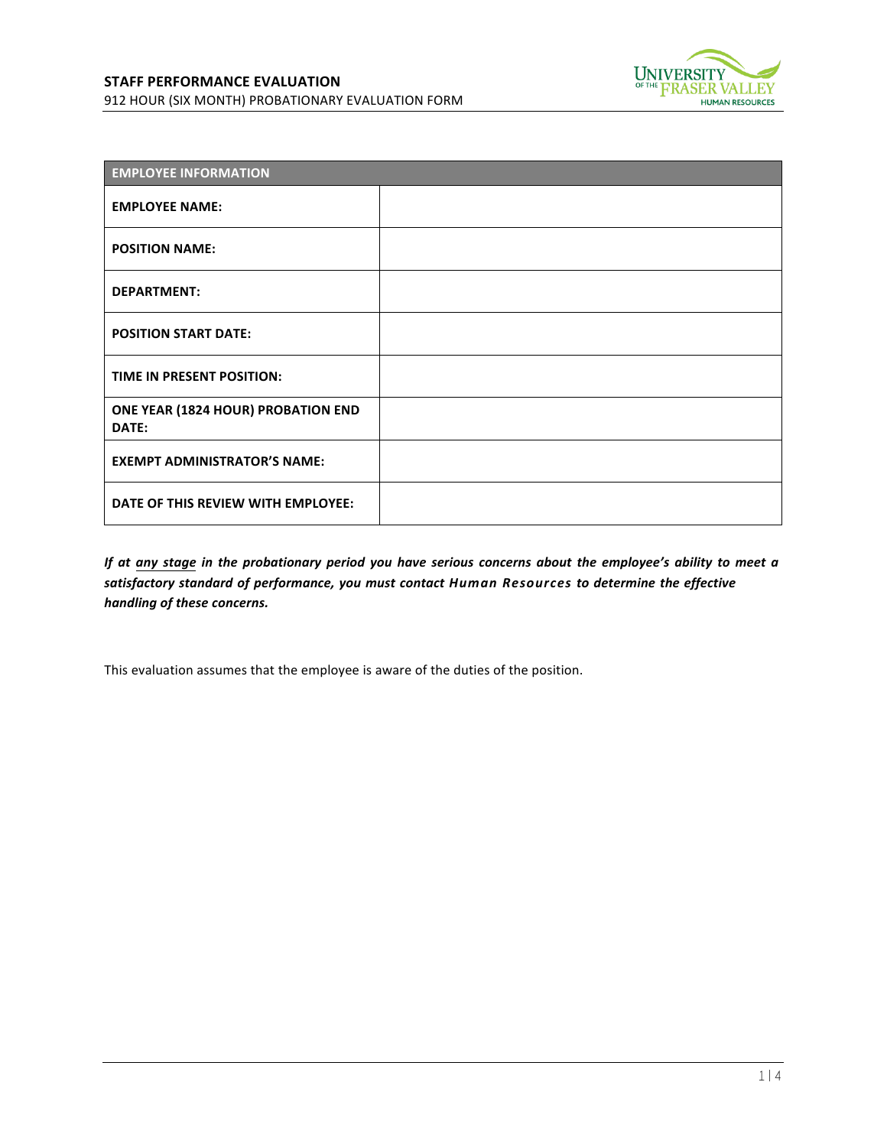



| <b>EMPLOYEE INFORMATION</b>                 |  |  |
|---------------------------------------------|--|--|
| <b>EMPLOYEE NAME:</b>                       |  |  |
| <b>POSITION NAME:</b>                       |  |  |
| <b>DEPARTMENT:</b>                          |  |  |
| <b>POSITION START DATE:</b>                 |  |  |
| TIME IN PRESENT POSITION:                   |  |  |
| ONE YEAR (1824 HOUR) PROBATION END<br>DATE: |  |  |
| <b>EXEMPT ADMINISTRATOR'S NAME:</b>         |  |  |
| DATE OF THIS REVIEW WITH EMPLOYEE:          |  |  |

*If at any stage in the probationary period you have serious concerns about the employee's ability to meet a satisfactory standard of performance, you must contact Human Resources to determine the effective!* handling of these concerns.

This evaluation assumes that the employee is aware of the duties of the position.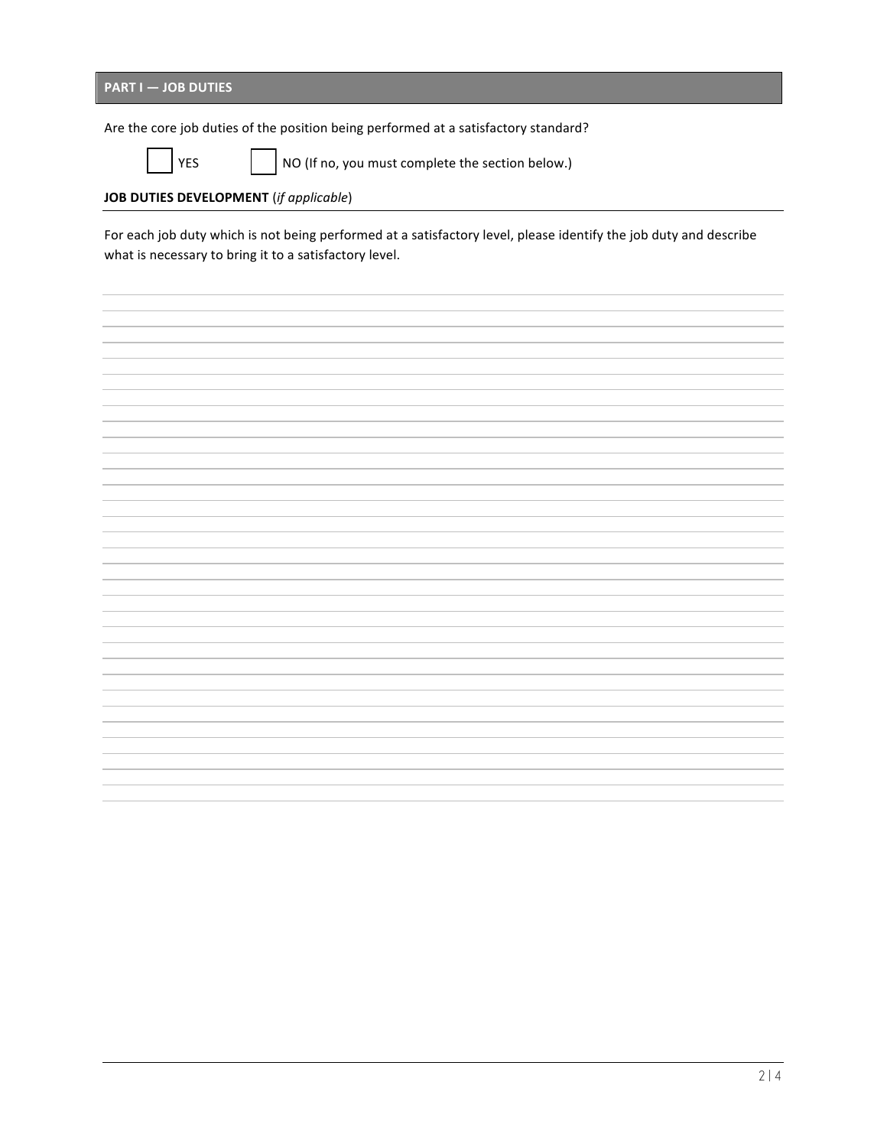| <b>PART I - JOB DUTIES</b> |  |  |
|----------------------------|--|--|
|                            |  |  |

Are the core job duties of the position being performed at a satisfactory standard?

YES | NO (If no, you must complete the section below.)

## **JOB DUTIES DEVELOPMENT** (*if applicable*)

For each job duty which is not being performed at a satisfactory level, please identify the job duty and describe what is necessary to bring it to a satisfactory level.

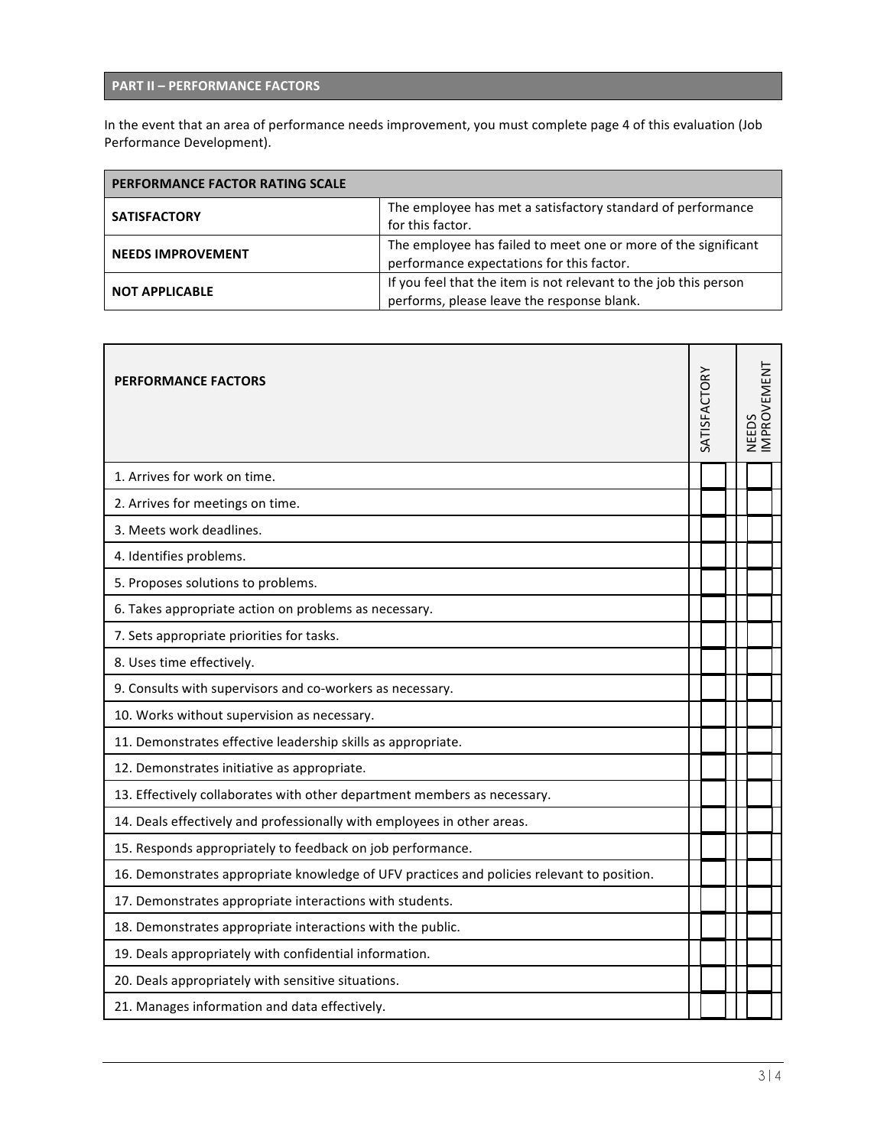## **PART%II%– PERFORMANCE FACTORS**

In the event that an area of performance needs improvement, you must complete page 4 of this evaluation (Job Performance Development).

| PERFORMANCE FACTOR RATING SCALE |                                                                  |
|---------------------------------|------------------------------------------------------------------|
| <b>SATISFACTORY</b>             | The employee has met a satisfactory standard of performance      |
|                                 | for this factor.                                                 |
| <b>NEEDS IMPROVEMENT</b>        | The employee has failed to meet one or more of the significant   |
|                                 | performance expectations for this factor.                        |
| <b>NOT APPLICABLE</b>           | If you feel that the item is not relevant to the job this person |
|                                 | performs, please leave the response blank.                       |

| <b>PERFORMANCE FACTORS</b>                                                                 |  | SATISFACTORY | NEEDS | MPROVEMENT |
|--------------------------------------------------------------------------------------------|--|--------------|-------|------------|
| 1. Arrives for work on time.                                                               |  |              |       |            |
| 2. Arrives for meetings on time.                                                           |  |              |       |            |
| 3. Meets work deadlines.                                                                   |  |              |       |            |
| 4. Identifies problems.                                                                    |  |              |       |            |
| 5. Proposes solutions to problems.                                                         |  |              |       |            |
| 6. Takes appropriate action on problems as necessary.                                      |  |              |       |            |
| 7. Sets appropriate priorities for tasks.                                                  |  |              |       |            |
| 8. Uses time effectively.                                                                  |  |              |       |            |
| 9. Consults with supervisors and co-workers as necessary.                                  |  |              |       |            |
| 10. Works without supervision as necessary.                                                |  |              |       |            |
| 11. Demonstrates effective leadership skills as appropriate.                               |  |              |       |            |
| 12. Demonstrates initiative as appropriate.                                                |  |              |       |            |
| 13. Effectively collaborates with other department members as necessary.                   |  |              |       |            |
| 14. Deals effectively and professionally with employees in other areas.                    |  |              |       |            |
| 15. Responds appropriately to feedback on job performance.                                 |  |              |       |            |
| 16. Demonstrates appropriate knowledge of UFV practices and policies relevant to position. |  |              |       |            |
| 17. Demonstrates appropriate interactions with students.                                   |  |              |       |            |
| 18. Demonstrates appropriate interactions with the public.                                 |  |              |       |            |
| 19. Deals appropriately with confidential information.                                     |  |              |       |            |
| 20. Deals appropriately with sensitive situations.                                         |  |              |       |            |
| 21. Manages information and data effectively.                                              |  |              |       |            |